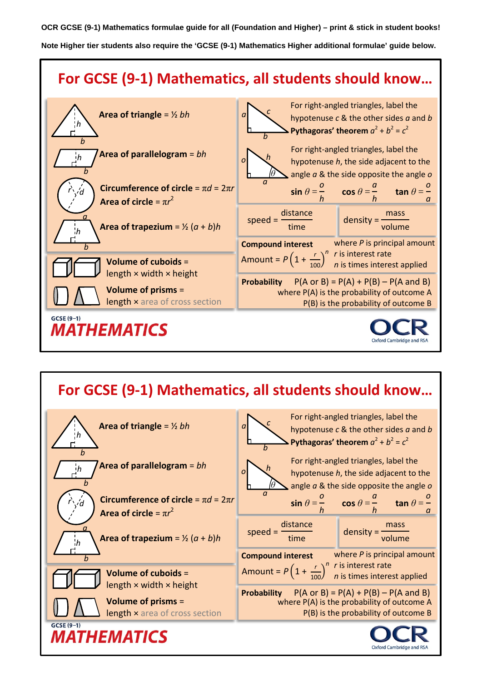**OCR GCSE (9-1) Mathematics formulae guide for all (Foundation and Higher) – print & stick in student books! Note Higher tier students also require the 'GCSE (9-1) Mathematics Higher additional formulae' guide below.**



**For GCSE (9-1) Mathematics, all students should know…**